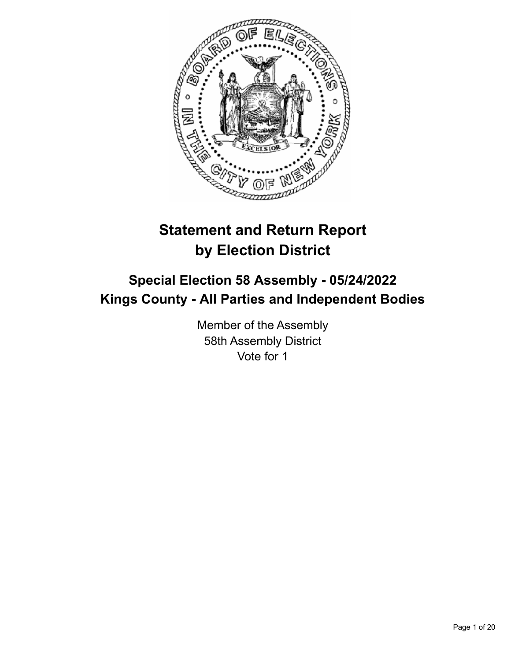

# **Statement and Return Report by Election District**

# **Special Election 58 Assembly - 05/24/2022 Kings County - All Parties and Independent Bodies**

Member of the Assembly 58th Assembly District Vote for 1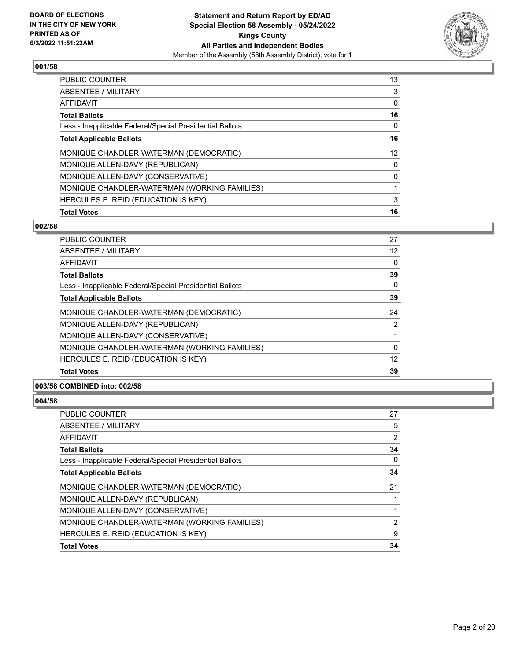

| PUBLIC COUNTER                                           | 13 |
|----------------------------------------------------------|----|
| <b>ABSENTEE / MILITARY</b>                               | 3  |
| <b>AFFIDAVIT</b>                                         | 0  |
| <b>Total Ballots</b>                                     | 16 |
| Less - Inapplicable Federal/Special Presidential Ballots | 0  |
| <b>Total Applicable Ballots</b>                          | 16 |
| MONIQUE CHANDLER-WATERMAN (DEMOCRATIC)                   | 12 |
| MONIQUE ALLEN-DAVY (REPUBLICAN)                          | 0  |
| MONIQUE ALLEN-DAVY (CONSERVATIVE)                        | 0  |
| MONIQUE CHANDLER-WATERMAN (WORKING FAMILIES)             |    |
| HERCULES E. REID (EDUCATION IS KEY)                      | 3  |
| <b>Total Votes</b>                                       | 16 |

## **002/58**

| <b>PUBLIC COUNTER</b>                                    | 27             |
|----------------------------------------------------------|----------------|
| ABSENTEE / MILITARY                                      | 12             |
| AFFIDAVIT                                                | 0              |
| <b>Total Ballots</b>                                     | 39             |
| Less - Inapplicable Federal/Special Presidential Ballots | 0              |
| <b>Total Applicable Ballots</b>                          | 39             |
| MONIQUE CHANDLER-WATERMAN (DEMOCRATIC)                   | 24             |
| MONIQUE ALLEN-DAVY (REPUBLICAN)                          | $\overline{2}$ |
| MONIQUE ALLEN-DAVY (CONSERVATIVE)                        |                |
| MONIQUE CHANDLER-WATERMAN (WORKING FAMILIES)             | 0              |
| HERCULES E. REID (EDUCATION IS KEY)                      | 12             |
| <b>Total Votes</b>                                       | 39             |
|                                                          |                |

## **003/58 COMBINED into: 002/58**

| PUBLIC COUNTER                                           | 27 |
|----------------------------------------------------------|----|
| <b>ABSENTEE / MILITARY</b>                               | 5  |
| AFFIDAVIT                                                | 2  |
| <b>Total Ballots</b>                                     | 34 |
| Less - Inapplicable Federal/Special Presidential Ballots | 0  |
| <b>Total Applicable Ballots</b>                          | 34 |
| MONIQUE CHANDLER-WATERMAN (DEMOCRATIC)                   | 21 |
| MONIQUE ALLEN-DAVY (REPUBLICAN)                          |    |
| MONIQUE ALLEN-DAVY (CONSERVATIVE)                        |    |
| MONIQUE CHANDLER-WATERMAN (WORKING FAMILIES)             | 2  |
| HERCULES E. REID (EDUCATION IS KEY)                      | 9  |
| <b>Total Votes</b>                                       | 34 |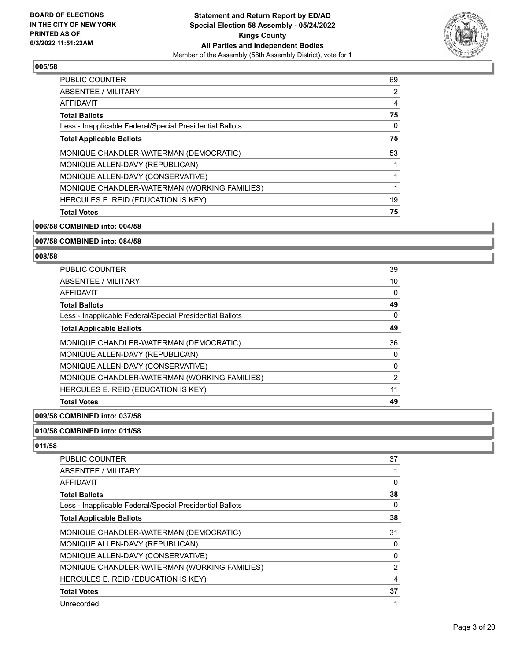

| PUBLIC COUNTER                                           | 69 |
|----------------------------------------------------------|----|
| <b>ABSENTEE / MILITARY</b>                               | 2  |
| AFFIDAVIT                                                | 4  |
| <b>Total Ballots</b>                                     | 75 |
| Less - Inapplicable Federal/Special Presidential Ballots | 0  |
| <b>Total Applicable Ballots</b>                          | 75 |
| MONIQUE CHANDLER-WATERMAN (DEMOCRATIC)                   | 53 |
| MONIQUE ALLEN-DAVY (REPUBLICAN)                          |    |
| MONIQUE ALLEN-DAVY (CONSERVATIVE)                        |    |
| MONIQUE CHANDLER-WATERMAN (WORKING FAMILIES)             |    |
| HERCULES E. REID (EDUCATION IS KEY)                      | 19 |
| <b>Total Votes</b>                                       | 75 |

**006/58 COMBINED into: 004/58**

**007/58 COMBINED into: 084/58**

#### **008/58**

| PUBLIC COUNTER                                           | 39 |
|----------------------------------------------------------|----|
| ABSENTEE / MILITARY                                      | 10 |
| AFFIDAVIT                                                | 0  |
| <b>Total Ballots</b>                                     | 49 |
| Less - Inapplicable Federal/Special Presidential Ballots | 0  |
| <b>Total Applicable Ballots</b>                          | 49 |
| MONIQUE CHANDLER-WATERMAN (DEMOCRATIC)                   | 36 |
| MONIQUE ALLEN-DAVY (REPUBLICAN)                          | 0  |
| MONIQUE ALLEN-DAVY (CONSERVATIVE)                        | 0  |
| MONIQUE CHANDLER-WATERMAN (WORKING FAMILIES)             | 2  |
| HERCULES E. REID (EDUCATION IS KEY)                      | 11 |
| <b>Total Votes</b>                                       | 49 |

**009/58 COMBINED into: 037/58**

# **010/58 COMBINED into: 011/58**

| <b>PUBLIC COUNTER</b>                                    | 37             |
|----------------------------------------------------------|----------------|
| ABSENTEE / MILITARY                                      |                |
| AFFIDAVIT                                                | 0              |
| <b>Total Ballots</b>                                     | 38             |
| Less - Inapplicable Federal/Special Presidential Ballots | 0              |
| <b>Total Applicable Ballots</b>                          | 38             |
| MONIQUE CHANDLER-WATERMAN (DEMOCRATIC)                   | 31             |
| MONIQUE ALLEN-DAVY (REPUBLICAN)                          | 0              |
| MONIQUE ALLEN-DAVY (CONSERVATIVE)                        | 0              |
| MONIQUE CHANDLER-WATERMAN (WORKING FAMILIES)             | $\overline{2}$ |
| HERCULES E. REID (EDUCATION IS KEY)                      | 4              |
| <b>Total Votes</b>                                       | 37             |
| Unrecorded                                               |                |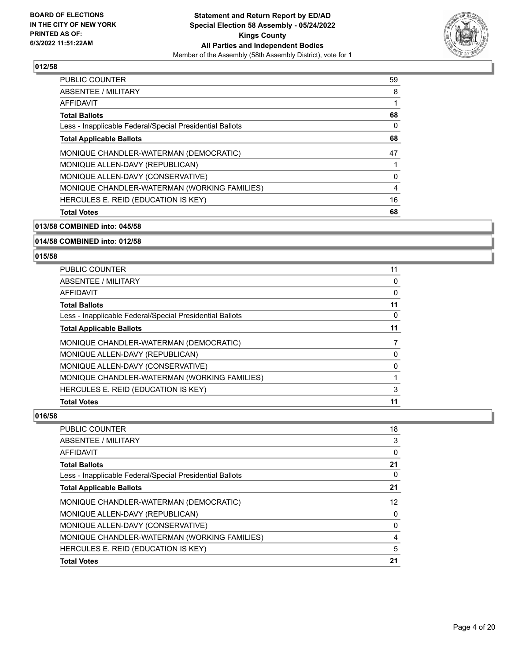

| PUBLIC COUNTER                                           | 59 |
|----------------------------------------------------------|----|
| <b>ABSENTEE / MILITARY</b>                               | 8  |
| AFFIDAVIT                                                |    |
| <b>Total Ballots</b>                                     | 68 |
| Less - Inapplicable Federal/Special Presidential Ballots | 0  |
| <b>Total Applicable Ballots</b>                          | 68 |
| MONIQUE CHANDLER-WATERMAN (DEMOCRATIC)                   | 47 |
| MONIQUE ALLEN-DAVY (REPUBLICAN)                          |    |
| MONIQUE ALLEN-DAVY (CONSERVATIVE)                        | 0  |
| MONIQUE CHANDLER-WATERMAN (WORKING FAMILIES)             | 4  |
| HERCULES E. REID (EDUCATION IS KEY)                      | 16 |
| <b>Total Votes</b>                                       | 68 |

**013/58 COMBINED into: 045/58**

**014/58 COMBINED into: 012/58**

#### **015/58**

| <b>PUBLIC COUNTER</b>                                    | 11 |
|----------------------------------------------------------|----|
| ABSENTEE / MILITARY                                      | 0  |
| AFFIDAVIT                                                | 0  |
| <b>Total Ballots</b>                                     | 11 |
| Less - Inapplicable Federal/Special Presidential Ballots | 0  |
| <b>Total Applicable Ballots</b>                          | 11 |
| MONIQUE CHANDLER-WATERMAN (DEMOCRATIC)                   |    |
| MONIQUE ALLEN-DAVY (REPUBLICAN)                          |    |
| MONIQUE ALLEN-DAVY (CONSERVATIVE)                        |    |
| MONIQUE CHANDLER-WATERMAN (WORKING FAMILIES)             |    |
| HERCULES E. REID (EDUCATION IS KEY)                      | 3  |
| <b>Total Votes</b>                                       | 11 |

| PUBLIC COUNTER                                           | 18              |
|----------------------------------------------------------|-----------------|
| ABSENTEE / MILITARY                                      | 3               |
| AFFIDAVIT                                                | 0               |
| Total Ballots                                            | 21              |
| Less - Inapplicable Federal/Special Presidential Ballots | 0               |
| <b>Total Applicable Ballots</b>                          | 21              |
| MONIQUE CHANDLER-WATERMAN (DEMOCRATIC)                   | 12 <sup>2</sup> |
| MONIQUE ALLEN-DAVY (REPUBLICAN)                          | 0               |
| MONIQUE ALLEN-DAVY (CONSERVATIVE)                        | 0               |
| MONIQUE CHANDLER-WATERMAN (WORKING FAMILIES)             | $\overline{4}$  |
| HERCULES E. REID (EDUCATION IS KEY)                      | 5               |
| <b>Total Votes</b>                                       | 21              |
|                                                          |                 |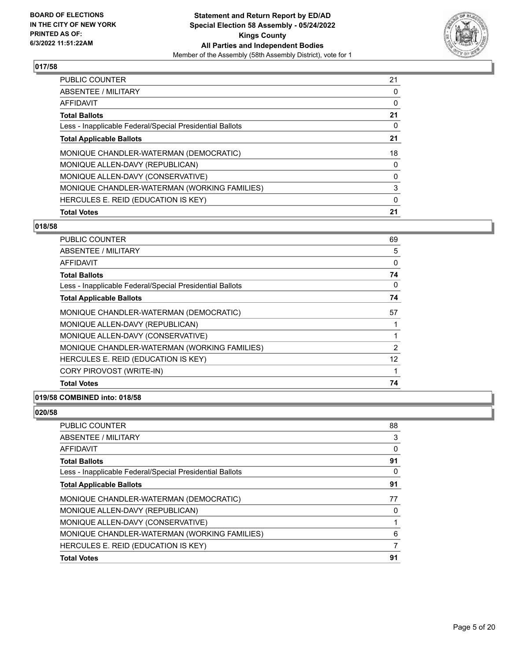

| PUBLIC COUNTER                                           | 21 |
|----------------------------------------------------------|----|
| <b>ABSENTEE / MILITARY</b>                               | 0  |
| <b>AFFIDAVIT</b>                                         | 0  |
| <b>Total Ballots</b>                                     | 21 |
| Less - Inapplicable Federal/Special Presidential Ballots | 0  |
| <b>Total Applicable Ballots</b>                          | 21 |
| MONIQUE CHANDLER-WATERMAN (DEMOCRATIC)                   | 18 |
| MONIQUE ALLEN-DAVY (REPUBLICAN)                          | 0  |
| MONIQUE ALLEN-DAVY (CONSERVATIVE)                        | 0  |
| MONIQUE CHANDLER-WATERMAN (WORKING FAMILIES)             | 3  |
| HERCULES E. REID (EDUCATION IS KEY)                      | 0  |
| <b>Total Votes</b>                                       | 21 |

## **018/58**

| PUBLIC COUNTER                                           | 69 |
|----------------------------------------------------------|----|
| ABSENTEE / MILITARY                                      | 5  |
| AFFIDAVIT                                                | 0  |
| <b>Total Ballots</b>                                     | 74 |
| Less - Inapplicable Federal/Special Presidential Ballots | 0  |
| <b>Total Applicable Ballots</b>                          | 74 |
| MONIQUE CHANDLER-WATERMAN (DEMOCRATIC)                   | 57 |
| MONIQUE ALLEN-DAVY (REPUBLICAN)                          |    |
| MONIQUE ALLEN-DAVY (CONSERVATIVE)                        |    |
| MONIQUE CHANDLER-WATERMAN (WORKING FAMILIES)             | 2  |
| HERCULES E. REID (EDUCATION IS KEY)                      | 12 |
| CORY PIROVOST (WRITE-IN)                                 |    |
| <b>Total Votes</b>                                       | 74 |

## **019/58 COMBINED into: 018/58**

| PUBLIC COUNTER                                           | 88 |
|----------------------------------------------------------|----|
| <b>ABSENTEE / MILITARY</b>                               | 3  |
| <b>AFFIDAVIT</b>                                         | 0  |
| <b>Total Ballots</b>                                     | 91 |
| Less - Inapplicable Federal/Special Presidential Ballots | 0  |
| <b>Total Applicable Ballots</b>                          | 91 |
| MONIQUE CHANDLER-WATERMAN (DEMOCRATIC)                   | 77 |
| MONIQUE ALLEN-DAVY (REPUBLICAN)                          | 0  |
| MONIQUE ALLEN-DAVY (CONSERVATIVE)                        |    |
| MONIQUE CHANDLER-WATERMAN (WORKING FAMILIES)             | 6  |
| HERCULES E. REID (EDUCATION IS KEY)                      | 7  |
| <b>Total Votes</b>                                       | 91 |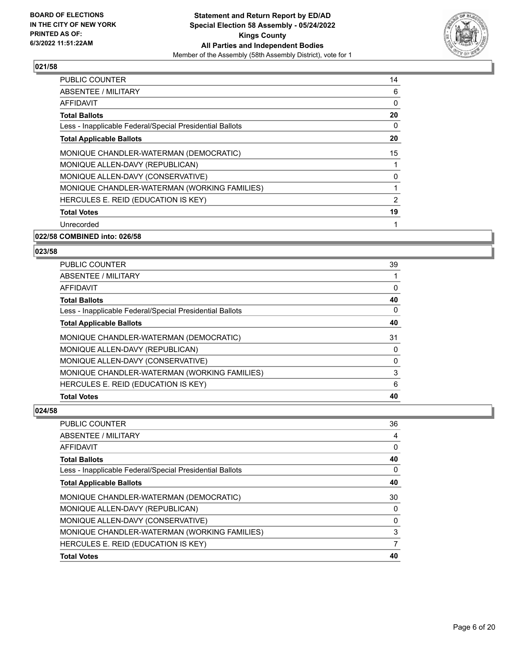

| <b>PUBLIC COUNTER</b>                                    | 14             |
|----------------------------------------------------------|----------------|
| ABSENTEE / MILITARY                                      | 6              |
| AFFIDAVIT                                                | 0              |
| <b>Total Ballots</b>                                     | 20             |
| Less - Inapplicable Federal/Special Presidential Ballots | 0              |
| <b>Total Applicable Ballots</b>                          | 20             |
| MONIQUE CHANDLER-WATERMAN (DEMOCRATIC)                   | 15             |
| MONIQUE ALLEN-DAVY (REPUBLICAN)                          |                |
| MONIQUE ALLEN-DAVY (CONSERVATIVE)                        | 0              |
| MONIQUE CHANDLER-WATERMAN (WORKING FAMILIES)             |                |
| HERCULES E. REID (EDUCATION IS KEY)                      | $\overline{2}$ |
| <b>Total Votes</b>                                       | 19             |
| Unrecorded                                               |                |

#### **022/58 COMBINED into: 026/58**

## **023/58**

| PUBLIC COUNTER                                           | 39 |
|----------------------------------------------------------|----|
| ABSENTEE / MILITARY                                      |    |
| AFFIDAVIT                                                | 0  |
| <b>Total Ballots</b>                                     | 40 |
| Less - Inapplicable Federal/Special Presidential Ballots | 0  |
| <b>Total Applicable Ballots</b>                          | 40 |
| MONIQUE CHANDLER-WATERMAN (DEMOCRATIC)                   | 31 |
| MONIQUE ALLEN-DAVY (REPUBLICAN)                          | 0  |
| MONIQUE ALLEN-DAVY (CONSERVATIVE)                        | 0  |
| MONIQUE CHANDLER-WATERMAN (WORKING FAMILIES)             | 3  |
| HERCULES E. REID (EDUCATION IS KEY)                      | 6  |
| <b>Total Votes</b>                                       | 40 |

| PUBLIC COUNTER                                           | 36             |
|----------------------------------------------------------|----------------|
| <b>ABSENTEE / MILITARY</b>                               | 4              |
| AFFIDAVIT                                                | 0              |
| <b>Total Ballots</b>                                     | 40             |
| Less - Inapplicable Federal/Special Presidential Ballots | 0              |
| <b>Total Applicable Ballots</b>                          | 40             |
| MONIQUE CHANDLER-WATERMAN (DEMOCRATIC)                   | 30             |
| MONIQUE ALLEN-DAVY (REPUBLICAN)                          | 0              |
| MONIQUE ALLEN-DAVY (CONSERVATIVE)                        | $\Omega$       |
| MONIQUE CHANDLER-WATERMAN (WORKING FAMILIES)             | 3              |
| HERCULES E. REID (EDUCATION IS KEY)                      | $\overline{7}$ |
| <b>Total Votes</b>                                       | 40             |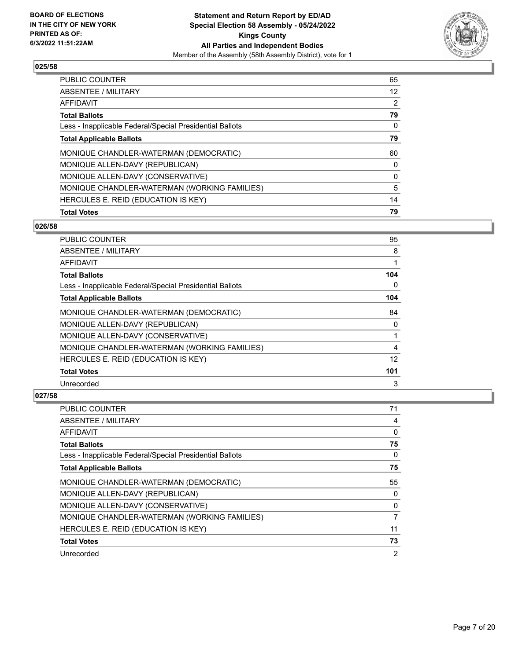

| PUBLIC COUNTER                                           | 65 |
|----------------------------------------------------------|----|
| ABSENTEE / MILITARY                                      | 12 |
| <b>AFFIDAVIT</b>                                         | 2  |
| <b>Total Ballots</b>                                     | 79 |
| Less - Inapplicable Federal/Special Presidential Ballots | 0  |
| <b>Total Applicable Ballots</b>                          | 79 |
| MONIQUE CHANDLER-WATERMAN (DEMOCRATIC)                   | 60 |
| MONIQUE ALLEN-DAVY (REPUBLICAN)                          | 0  |
| MONIQUE ALLEN-DAVY (CONSERVATIVE)                        | 0  |
| MONIQUE CHANDLER-WATERMAN (WORKING FAMILIES)             | 5  |
| HERCULES E. REID (EDUCATION IS KEY)                      | 14 |
| <b>Total Votes</b>                                       | 79 |

## **026/58**

| PUBLIC COUNTER                                           | 95  |
|----------------------------------------------------------|-----|
| ABSENTEE / MILITARY                                      | 8   |
| <b>AFFIDAVIT</b>                                         |     |
| <b>Total Ballots</b>                                     | 104 |
| Less - Inapplicable Federal/Special Presidential Ballots | 0   |
| <b>Total Applicable Ballots</b>                          | 104 |
| MONIQUE CHANDLER-WATERMAN (DEMOCRATIC)                   | 84  |
| MONIQUE ALLEN-DAVY (REPUBLICAN)                          | 0   |
| MONIQUE ALLEN-DAVY (CONSERVATIVE)                        |     |
| MONIQUE CHANDLER-WATERMAN (WORKING FAMILIES)             | 4   |
| HERCULES E. REID (EDUCATION IS KEY)                      | 12  |
| <b>Total Votes</b>                                       | 101 |
| Unrecorded                                               | 3   |

| <b>PUBLIC COUNTER</b>                                    | 71             |
|----------------------------------------------------------|----------------|
| ABSENTEE / MILITARY                                      | 4              |
| <b>AFFIDAVIT</b>                                         | 0              |
| <b>Total Ballots</b>                                     | 75             |
| Less - Inapplicable Federal/Special Presidential Ballots | $\Omega$       |
| <b>Total Applicable Ballots</b>                          | 75             |
| MONIQUE CHANDLER-WATERMAN (DEMOCRATIC)                   | 55             |
| MONIQUE ALLEN-DAVY (REPUBLICAN)                          | 0              |
| MONIQUE ALLEN-DAVY (CONSERVATIVE)                        | 0              |
| MONIQUE CHANDLER-WATERMAN (WORKING FAMILIES)             | 7              |
| HERCULES E. REID (EDUCATION IS KEY)                      | 11             |
| <b>Total Votes</b>                                       | 73             |
| Unrecorded                                               | $\overline{2}$ |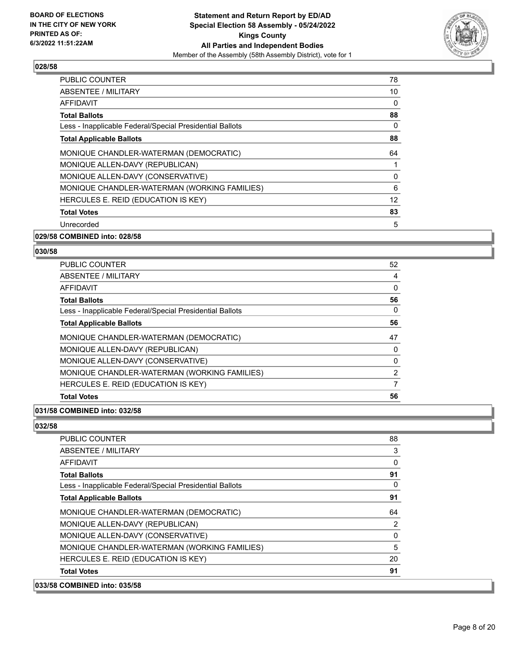

| <b>PUBLIC COUNTER</b>                                    | 78 |
|----------------------------------------------------------|----|
| ABSENTEE / MILITARY                                      | 10 |
| AFFIDAVIT                                                | 0  |
| <b>Total Ballots</b>                                     | 88 |
| Less - Inapplicable Federal/Special Presidential Ballots | 0  |
| <b>Total Applicable Ballots</b>                          | 88 |
| MONIQUE CHANDLER-WATERMAN (DEMOCRATIC)                   | 64 |
| MONIQUE ALLEN-DAVY (REPUBLICAN)                          |    |
| MONIQUE ALLEN-DAVY (CONSERVATIVE)                        | 0  |
| MONIQUE CHANDLER-WATERMAN (WORKING FAMILIES)             | 6  |
| HERCULES E. REID (EDUCATION IS KEY)                      | 12 |
| <b>Total Votes</b>                                       | 83 |
| Unrecorded                                               | 5  |

#### **029/58 COMBINED into: 028/58**

#### **030/58**

| <b>PUBLIC COUNTER</b>                                    | 52 |
|----------------------------------------------------------|----|
| ABSENTEE / MILITARY                                      | 4  |
| AFFIDAVIT                                                | 0  |
| <b>Total Ballots</b>                                     | 56 |
| Less - Inapplicable Federal/Special Presidential Ballots | 0  |
| <b>Total Applicable Ballots</b>                          | 56 |
| MONIQUE CHANDLER-WATERMAN (DEMOCRATIC)                   | 47 |
| MONIQUE ALLEN-DAVY (REPUBLICAN)                          | 0  |
| MONIQUE ALLEN-DAVY (CONSERVATIVE)                        | 0  |
| MONIQUE CHANDLER-WATERMAN (WORKING FAMILIES)             | 2  |
| HERCULES E. REID (EDUCATION IS KEY)                      |    |
| <b>Total Votes</b>                                       | 56 |

## **031/58 COMBINED into: 032/58**

| 033/58 COMBINED into: 035/58                             |          |
|----------------------------------------------------------|----------|
| <b>Total Votes</b>                                       | 91       |
| HERCULES E. REID (EDUCATION IS KEY)                      | 20       |
| MONIQUE CHANDLER-WATERMAN (WORKING FAMILIES)             | 5        |
| MONIQUE ALLEN-DAVY (CONSERVATIVE)                        | 0        |
| MONIQUE ALLEN-DAVY (REPUBLICAN)                          | 2        |
| MONIQUE CHANDLER-WATERMAN (DEMOCRATIC)                   | 64       |
| <b>Total Applicable Ballots</b>                          | 91       |
| Less - Inapplicable Federal/Special Presidential Ballots | $\Omega$ |
| <b>Total Ballots</b>                                     | 91       |
| AFFIDAVIT                                                | 0        |
| ABSENTEE / MILITARY                                      | 3        |
| PUBLIC COUNTER                                           | 88       |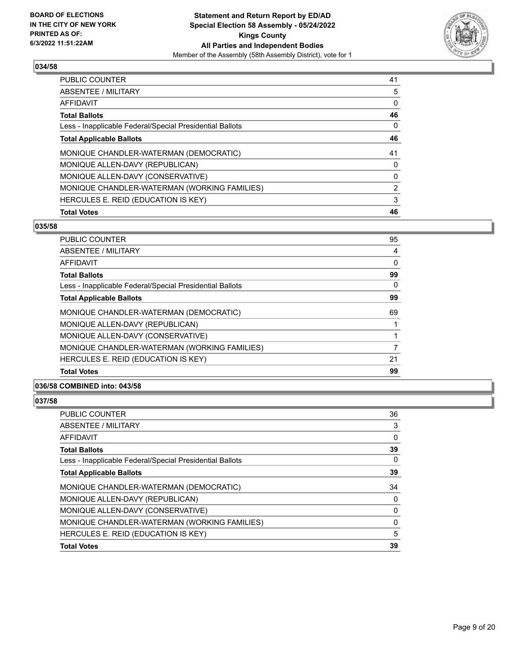

| <b>PUBLIC COUNTER</b>                                    | 41 |
|----------------------------------------------------------|----|
| ABSENTEE / MILITARY                                      | 5  |
| <b>AFFIDAVIT</b>                                         | 0  |
| <b>Total Ballots</b>                                     | 46 |
| Less - Inapplicable Federal/Special Presidential Ballots | 0  |
| <b>Total Applicable Ballots</b>                          | 46 |
| MONIQUE CHANDLER-WATERMAN (DEMOCRATIC)                   | 41 |
| MONIQUE ALLEN-DAVY (REPUBLICAN)                          | 0  |
| MONIQUE ALLEN-DAVY (CONSERVATIVE)                        | 0  |
| MONIQUE CHANDLER-WATERMAN (WORKING FAMILIES)             | 2  |
| HERCULES E. REID (EDUCATION IS KEY)                      | 3  |
| <b>Total Votes</b>                                       | 46 |

# **035/58**

| <b>PUBLIC COUNTER</b>                                    | 95 |
|----------------------------------------------------------|----|
| ABSENTEE / MILITARY                                      | 4  |
| AFFIDAVIT                                                | 0  |
| <b>Total Ballots</b>                                     | 99 |
| Less - Inapplicable Federal/Special Presidential Ballots | 0  |
| <b>Total Applicable Ballots</b>                          | 99 |
| MONIQUE CHANDLER-WATERMAN (DEMOCRATIC)                   | 69 |
| MONIQUE ALLEN-DAVY (REPUBLICAN)                          |    |
| MONIQUE ALLEN-DAVY (CONSERVATIVE)                        |    |
| MONIQUE CHANDLER-WATERMAN (WORKING FAMILIES)             | 7  |
| HERCULES E. REID (EDUCATION IS KEY)                      | 21 |
| <b>Total Votes</b>                                       | 99 |
|                                                          |    |

# **036/58 COMBINED into: 043/58**

| PUBLIC COUNTER                                           | 36       |
|----------------------------------------------------------|----------|
| <b>ABSENTEE / MILITARY</b>                               | 3        |
| <b>AFFIDAVIT</b>                                         | 0        |
| <b>Total Ballots</b>                                     | 39       |
| Less - Inapplicable Federal/Special Presidential Ballots | 0        |
| <b>Total Applicable Ballots</b>                          | 39       |
| MONIQUE CHANDLER-WATERMAN (DEMOCRATIC)                   | 34       |
| MONIQUE ALLEN-DAVY (REPUBLICAN)                          | 0        |
| MONIQUE ALLEN-DAVY (CONSERVATIVE)                        | $\Omega$ |
| MONIQUE CHANDLER-WATERMAN (WORKING FAMILIES)             | 0        |
| HERCULES E. REID (EDUCATION IS KEY)                      | 5        |
| <b>Total Votes</b>                                       | 39       |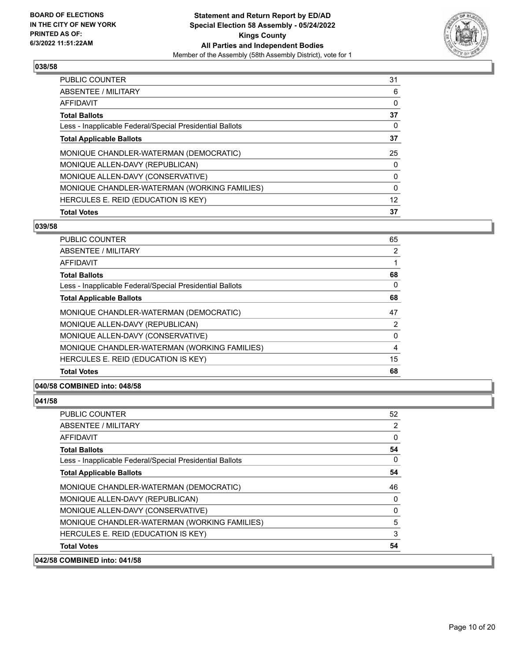

| PUBLIC COUNTER                                           | 31       |
|----------------------------------------------------------|----------|
| <b>ABSENTEE / MILITARY</b>                               | 6        |
| <b>AFFIDAVIT</b>                                         | 0        |
| <b>Total Ballots</b>                                     | 37       |
| Less - Inapplicable Federal/Special Presidential Ballots | 0        |
| <b>Total Applicable Ballots</b>                          | 37       |
| MONIQUE CHANDLER-WATERMAN (DEMOCRATIC)                   | 25       |
| MONIQUE ALLEN-DAVY (REPUBLICAN)                          | 0        |
| MONIQUE ALLEN-DAVY (CONSERVATIVE)                        | 0        |
| MONIQUE CHANDLER-WATERMAN (WORKING FAMILIES)             | $\Omega$ |
| HERCULES E. REID (EDUCATION IS KEY)                      | 12       |
| <b>Total Votes</b>                                       | 37       |

#### **039/58**

| <b>PUBLIC COUNTER</b>                                    | 65 |
|----------------------------------------------------------|----|
| <b>ABSENTEE / MILITARY</b>                               | 2  |
| AFFIDAVIT                                                |    |
| <b>Total Ballots</b>                                     | 68 |
| Less - Inapplicable Federal/Special Presidential Ballots | 0  |
| <b>Total Applicable Ballots</b>                          | 68 |
| MONIQUE CHANDLER-WATERMAN (DEMOCRATIC)                   | 47 |
| MONIQUE ALLEN-DAVY (REPUBLICAN)                          | 2  |
| MONIQUE ALLEN-DAVY (CONSERVATIVE)                        | 0  |
| MONIQUE CHANDLER-WATERMAN (WORKING FAMILIES)             | 4  |
| HERCULES E. REID (EDUCATION IS KEY)                      | 15 |
| <b>Total Votes</b>                                       | 68 |

# **040/58 COMBINED into: 048/58**

| 042/58 COMBINED into: 041/58                             |          |
|----------------------------------------------------------|----------|
| <b>Total Votes</b>                                       | 54       |
| HERCULES E. REID (EDUCATION IS KEY)                      | 3        |
| MONIQUE CHANDLER-WATERMAN (WORKING FAMILIES)             | 5        |
| MONIQUE ALLEN-DAVY (CONSERVATIVE)                        | 0        |
| MONIQUE ALLEN-DAVY (REPUBLICAN)                          | 0        |
| MONIQUE CHANDLER-WATERMAN (DEMOCRATIC)                   | 46       |
| <b>Total Applicable Ballots</b>                          | 54       |
| Less - Inapplicable Federal/Special Presidential Ballots | $\Omega$ |
| <b>Total Ballots</b>                                     | 54       |
| AFFIDAVIT                                                | $\Omega$ |
| ABSENTEE / MILITARY                                      | 2        |
| <b>PUBLIC COUNTER</b>                                    | 52       |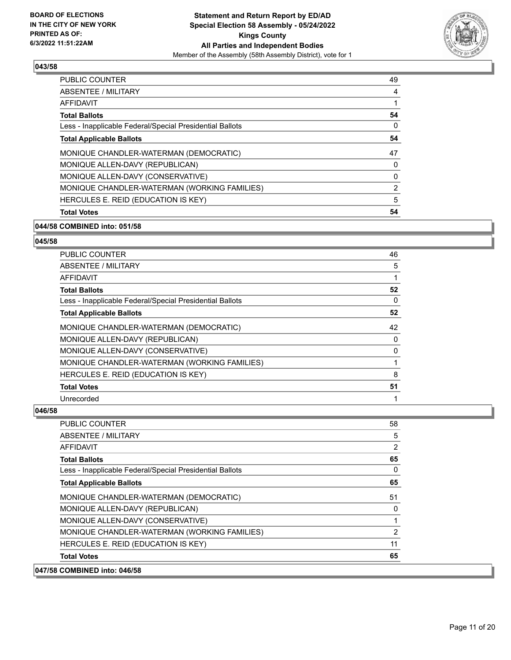

| <b>PUBLIC COUNTER</b>                                    | 49 |
|----------------------------------------------------------|----|
| ABSENTEE / MILITARY                                      | 4  |
| AFFIDAVIT                                                |    |
| <b>Total Ballots</b>                                     | 54 |
| Less - Inapplicable Federal/Special Presidential Ballots | 0  |
| <b>Total Applicable Ballots</b>                          | 54 |
| MONIQUE CHANDLER-WATERMAN (DEMOCRATIC)                   | 47 |
| MONIQUE ALLEN-DAVY (REPUBLICAN)                          | 0  |
| MONIQUE ALLEN-DAVY (CONSERVATIVE)                        | 0  |
| MONIQUE CHANDLER-WATERMAN (WORKING FAMILIES)             | 2  |
| HERCULES E. REID (EDUCATION IS KEY)                      | 5  |
| <b>Total Votes</b>                                       | 54 |

## **044/58 COMBINED into: 051/58**

#### **045/58**

| <b>PUBLIC COUNTER</b>                                    | 46 |
|----------------------------------------------------------|----|
| ABSENTEE / MILITARY                                      | 5  |
| <b>AFFIDAVIT</b>                                         |    |
| <b>Total Ballots</b>                                     | 52 |
| Less - Inapplicable Federal/Special Presidential Ballots | 0  |
| <b>Total Applicable Ballots</b>                          | 52 |
| MONIQUE CHANDLER-WATERMAN (DEMOCRATIC)                   | 42 |
| MONIQUE ALLEN-DAVY (REPUBLICAN)                          | 0  |
| MONIQUE ALLEN-DAVY (CONSERVATIVE)                        | 0  |
| MONIQUE CHANDLER-WATERMAN (WORKING FAMILIES)             |    |
| HERCULES E. REID (EDUCATION IS KEY)                      | 8  |
| <b>Total Votes</b>                                       | 51 |
| Unrecorded                                               |    |

| 047/58 COMBINED into: 046/58                             |              |
|----------------------------------------------------------|--------------|
| <b>Total Votes</b>                                       | 65           |
| HERCULES E. REID (EDUCATION IS KEY)                      | 11           |
| MONIQUE CHANDLER-WATERMAN (WORKING FAMILIES)             | 2            |
| MONIQUE ALLEN-DAVY (CONSERVATIVE)                        |              |
| MONIQUE ALLEN-DAVY (REPUBLICAN)                          | 0            |
| MONIQUE CHANDLER-WATERMAN (DEMOCRATIC)                   | 51           |
| <b>Total Applicable Ballots</b>                          | 65           |
| Less - Inapplicable Federal/Special Presidential Ballots | $\mathbf{0}$ |
| <b>Total Ballots</b>                                     | 65           |
| <b>AFFIDAVIT</b>                                         | 2            |
| ABSENTEE / MILITARY                                      | 5            |
| PUBLIC COUNTER                                           | 58           |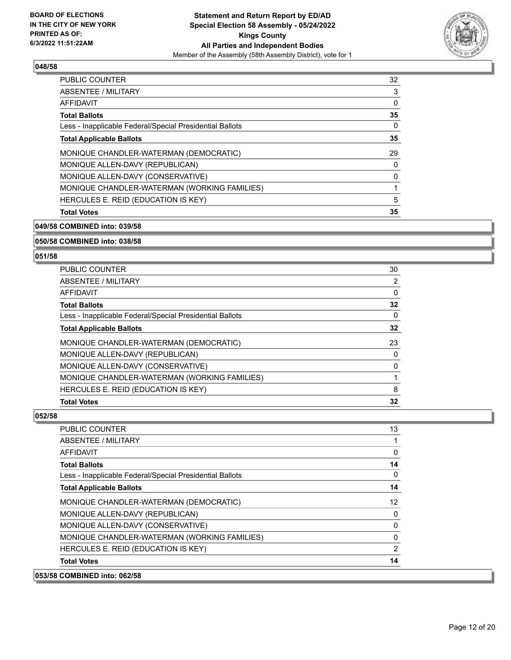

| <b>PUBLIC COUNTER</b>                                    | 32 |
|----------------------------------------------------------|----|
| ABSENTEE / MILITARY                                      | 3  |
| AFFIDAVIT                                                | 0  |
| <b>Total Ballots</b>                                     | 35 |
| Less - Inapplicable Federal/Special Presidential Ballots | 0  |
| <b>Total Applicable Ballots</b>                          | 35 |
| MONIQUE CHANDLER-WATERMAN (DEMOCRATIC)                   | 29 |
| MONIQUE ALLEN-DAVY (REPUBLICAN)                          | 0  |
| MONIQUE ALLEN-DAVY (CONSERVATIVE)                        | 0  |
| MONIQUE CHANDLER-WATERMAN (WORKING FAMILIES)             |    |
| HERCULES E. REID (EDUCATION IS KEY)                      | 5  |
| <b>Total Votes</b>                                       | 35 |

**049/58 COMBINED into: 039/58**

**050/58 COMBINED into: 038/58**

#### **051/58**

| <b>PUBLIC COUNTER</b>                                    | 30 |
|----------------------------------------------------------|----|
| ABSENTEE / MILITARY                                      | 2  |
| AFFIDAVIT                                                | 0  |
| <b>Total Ballots</b>                                     | 32 |
| Less - Inapplicable Federal/Special Presidential Ballots | 0  |
| <b>Total Applicable Ballots</b>                          | 32 |
| MONIQUE CHANDLER-WATERMAN (DEMOCRATIC)                   | 23 |
| MONIQUE ALLEN-DAVY (REPUBLICAN)                          | 0  |
| MONIQUE ALLEN-DAVY (CONSERVATIVE)                        | O  |
| MONIQUE CHANDLER-WATERMAN (WORKING FAMILIES)             |    |
| HERCULES E. REID (EDUCATION IS KEY)                      | 8  |
| <b>Total Votes</b>                                       | 32 |

| 053/58 COMBINED into: 062/58                             |          |
|----------------------------------------------------------|----------|
| <b>Total Votes</b>                                       | 14       |
| HERCULES E. REID (EDUCATION IS KEY)                      | 2        |
| MONIQUE CHANDLER-WATERMAN (WORKING FAMILIES)             | $\Omega$ |
| MONIQUE ALLEN-DAVY (CONSERVATIVE)                        | 0        |
| MONIQUE ALLEN-DAVY (REPUBLICAN)                          | 0        |
| MONIQUE CHANDLER-WATERMAN (DEMOCRATIC)                   | 12       |
| <b>Total Applicable Ballots</b>                          | 14       |
| Less - Inapplicable Federal/Special Presidential Ballots | $\Omega$ |
| <b>Total Ballots</b>                                     | 14       |
| AFFIDAVIT                                                | 0        |
| ABSENTEE / MILITARY                                      |          |
| <b>PUBLIC COUNTER</b>                                    | 13       |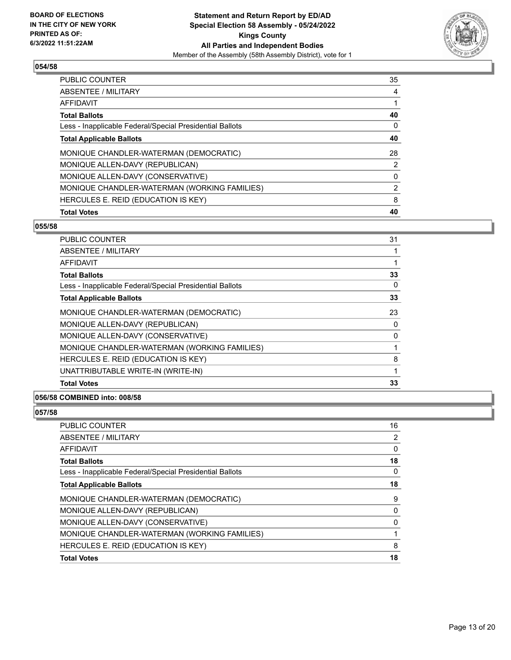

| <b>PUBLIC COUNTER</b>                                    | 35 |
|----------------------------------------------------------|----|
| ABSENTEE / MILITARY                                      | 4  |
| <b>AFFIDAVIT</b>                                         |    |
| <b>Total Ballots</b>                                     | 40 |
| Less - Inapplicable Federal/Special Presidential Ballots | 0  |
| <b>Total Applicable Ballots</b>                          | 40 |
| MONIQUE CHANDLER-WATERMAN (DEMOCRATIC)                   | 28 |
| MONIQUE ALLEN-DAVY (REPUBLICAN)                          | 2  |
| MONIQUE ALLEN-DAVY (CONSERVATIVE)                        | 0  |
| MONIQUE CHANDLER-WATERMAN (WORKING FAMILIES)             | 2  |
| HERCULES E. REID (EDUCATION IS KEY)                      | 8  |
| <b>Total Votes</b>                                       | 40 |

#### **055/58**

| <b>PUBLIC COUNTER</b>                                    | 31 |
|----------------------------------------------------------|----|
| ABSENTEE / MILITARY                                      |    |
| <b>AFFIDAVIT</b>                                         |    |
| <b>Total Ballots</b>                                     | 33 |
| Less - Inapplicable Federal/Special Presidential Ballots | 0  |
| <b>Total Applicable Ballots</b>                          | 33 |
| MONIQUE CHANDLER-WATERMAN (DEMOCRATIC)                   | 23 |
| MONIQUE ALLEN-DAVY (REPUBLICAN)                          | 0  |
| MONIQUE ALLEN-DAVY (CONSERVATIVE)                        | 0  |
| MONIQUE CHANDLER-WATERMAN (WORKING FAMILIES)             |    |
| HERCULES E. REID (EDUCATION IS KEY)                      | 8  |
| UNATTRIBUTABLE WRITE-IN (WRITE-IN)                       | 1  |
| <b>Total Votes</b>                                       | 33 |
|                                                          |    |

## **056/58 COMBINED into: 008/58**

| <b>PUBLIC COUNTER</b>                                    | 16 |
|----------------------------------------------------------|----|
| <b>ABSENTEE / MILITARY</b>                               | 2  |
| <b>AFFIDAVIT</b>                                         | 0  |
| <b>Total Ballots</b>                                     | 18 |
| Less - Inapplicable Federal/Special Presidential Ballots | 0  |
| <b>Total Applicable Ballots</b>                          | 18 |
| MONIQUE CHANDLER-WATERMAN (DEMOCRATIC)                   | 9  |
| MONIQUE ALLEN-DAVY (REPUBLICAN)                          | 0  |
| MONIQUE ALLEN-DAVY (CONSERVATIVE)                        | 0  |
| MONIQUE CHANDLER-WATERMAN (WORKING FAMILIES)             |    |
| HERCULES E. REID (EDUCATION IS KEY)                      | 8  |
| <b>Total Votes</b>                                       | 18 |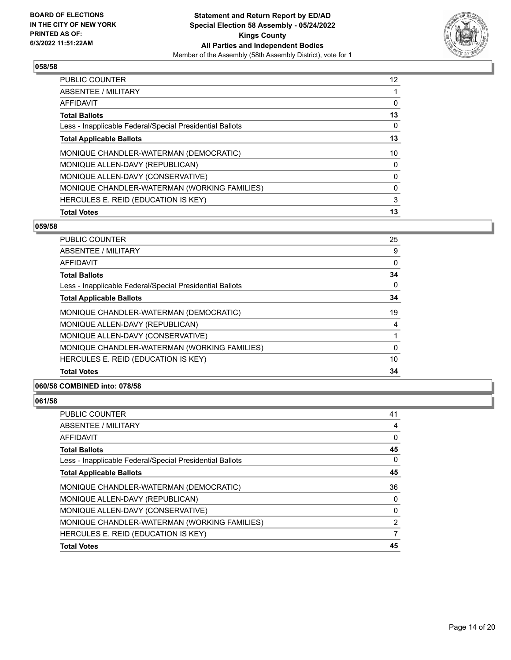

| <b>PUBLIC COUNTER</b>                                    | 12 |
|----------------------------------------------------------|----|
| <b>ABSENTEE / MILITARY</b>                               |    |
| <b>AFFIDAVIT</b>                                         | 0  |
| <b>Total Ballots</b>                                     | 13 |
| Less - Inapplicable Federal/Special Presidential Ballots | 0  |
| <b>Total Applicable Ballots</b>                          | 13 |
| MONIQUE CHANDLER-WATERMAN (DEMOCRATIC)                   | 10 |
| MONIQUE ALLEN-DAVY (REPUBLICAN)                          | 0  |
| MONIQUE ALLEN-DAVY (CONSERVATIVE)                        | 0  |
| MONIQUE CHANDLER-WATERMAN (WORKING FAMILIES)             | 0  |
| HERCULES E. REID (EDUCATION IS KEY)                      | 3  |
| <b>Total Votes</b>                                       | 13 |

# **059/58**

| PUBLIC COUNTER                                           | 25 |
|----------------------------------------------------------|----|
| ABSENTEE / MILITARY                                      | 9  |
| AFFIDAVIT                                                | 0  |
| <b>Total Ballots</b>                                     | 34 |
| Less - Inapplicable Federal/Special Presidential Ballots | 0  |
| <b>Total Applicable Ballots</b>                          | 34 |
| MONIQUE CHANDLER-WATERMAN (DEMOCRATIC)                   | 19 |
| MONIQUE ALLEN-DAVY (REPUBLICAN)                          | 4  |
| MONIQUE ALLEN-DAVY (CONSERVATIVE)                        |    |
| MONIQUE CHANDLER-WATERMAN (WORKING FAMILIES)             | 0  |
| HERCULES E. REID (EDUCATION IS KEY)                      | 10 |
| <b>Total Votes</b>                                       | 34 |
|                                                          |    |

# **060/58 COMBINED into: 078/58**

| <b>PUBLIC COUNTER</b>                                    | 41 |
|----------------------------------------------------------|----|
| <b>ABSENTEE / MILITARY</b>                               | 4  |
| AFFIDAVIT                                                | 0  |
| <b>Total Ballots</b>                                     | 45 |
| Less - Inapplicable Federal/Special Presidential Ballots | 0  |
| <b>Total Applicable Ballots</b>                          | 45 |
| MONIQUE CHANDLER-WATERMAN (DEMOCRATIC)                   | 36 |
| MONIQUE ALLEN-DAVY (REPUBLICAN)                          | 0  |
| MONIQUE ALLEN-DAVY (CONSERVATIVE)                        | 0  |
| MONIQUE CHANDLER-WATERMAN (WORKING FAMILIES)             | 2  |
| HERCULES E. REID (EDUCATION IS KEY)                      | 7  |
| <b>Total Votes</b>                                       | 45 |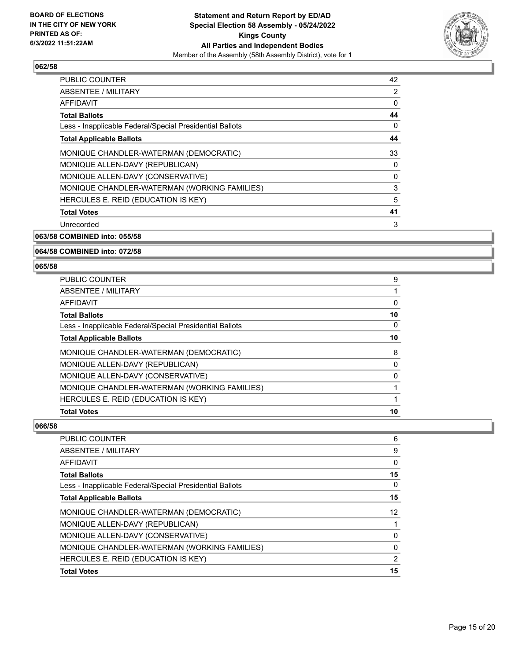

| PUBLIC COUNTER                                           | 42 |
|----------------------------------------------------------|----|
| ABSENTEE / MILITARY                                      | 2  |
| AFFIDAVIT                                                | 0  |
| <b>Total Ballots</b>                                     | 44 |
| Less - Inapplicable Federal/Special Presidential Ballots | 0  |
| <b>Total Applicable Ballots</b>                          | 44 |
| MONIQUE CHANDLER-WATERMAN (DEMOCRATIC)                   | 33 |
| MONIQUE ALLEN-DAVY (REPUBLICAN)                          | 0  |
| MONIQUE ALLEN-DAVY (CONSERVATIVE)                        | 0  |
| MONIQUE CHANDLER-WATERMAN (WORKING FAMILIES)             | 3  |
| HERCULES E. REID (EDUCATION IS KEY)                      | 5  |
| <b>Total Votes</b>                                       | 41 |
| Unrecorded                                               | 3  |

**063/58 COMBINED into: 055/58**

#### **064/58 COMBINED into: 072/58**

#### **065/58**

| <b>PUBLIC COUNTER</b>                                    | 9        |
|----------------------------------------------------------|----------|
| <b>ABSENTEE / MILITARY</b>                               |          |
| <b>AFFIDAVIT</b>                                         | 0        |
| <b>Total Ballots</b>                                     | 10       |
| Less - Inapplicable Federal/Special Presidential Ballots | 0        |
| <b>Total Applicable Ballots</b>                          | 10       |
| MONIQUE CHANDLER-WATERMAN (DEMOCRATIC)                   | 8        |
| MONIQUE ALLEN-DAVY (REPUBLICAN)                          | 0        |
| MONIQUE ALLEN-DAVY (CONSERVATIVE)                        | $\Omega$ |
| MONIQUE CHANDLER-WATERMAN (WORKING FAMILIES)             |          |
| HERCULES E. REID (EDUCATION IS KEY)                      |          |
| <b>Total Votes</b>                                       | 10       |

| <b>PUBLIC COUNTER</b>                                    | 6        |
|----------------------------------------------------------|----------|
| <b>ABSENTEE / MILITARY</b>                               | 9        |
| <b>AFFIDAVIT</b>                                         | 0        |
| <b>Total Ballots</b>                                     | 15       |
| Less - Inapplicable Federal/Special Presidential Ballots | 0        |
| <b>Total Applicable Ballots</b>                          | 15       |
| MONIQUE CHANDLER-WATERMAN (DEMOCRATIC)                   | 12       |
| MONIQUE ALLEN-DAVY (REPUBLICAN)                          |          |
| MONIQUE ALLEN-DAVY (CONSERVATIVE)                        | $\Omega$ |
| MONIQUE CHANDLER-WATERMAN (WORKING FAMILIES)             | $\Omega$ |
| HERCULES E. REID (EDUCATION IS KEY)                      | 2        |
| <b>Total Votes</b>                                       | 15       |
|                                                          |          |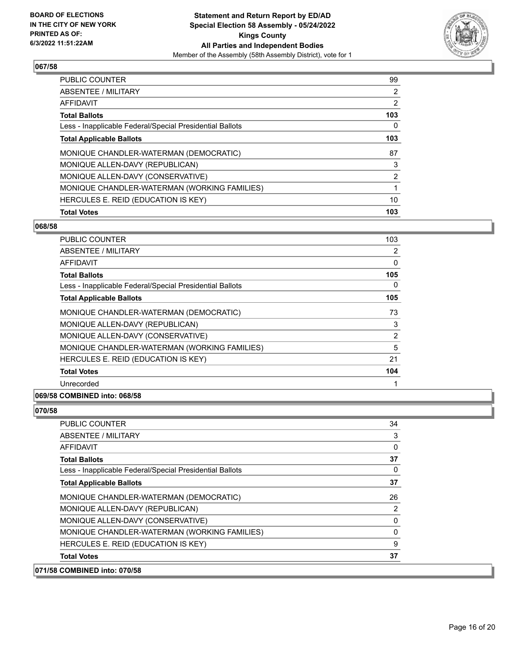

| <b>PUBLIC COUNTER</b>                                    | 99             |
|----------------------------------------------------------|----------------|
| <b>ABSENTEE / MILITARY</b>                               | $\overline{2}$ |
| AFFIDAVIT                                                | $\overline{2}$ |
| <b>Total Ballots</b>                                     | 103            |
| Less - Inapplicable Federal/Special Presidential Ballots | 0              |
| <b>Total Applicable Ballots</b>                          | 103            |
| MONIQUE CHANDLER-WATERMAN (DEMOCRATIC)                   | 87             |
| MONIQUE ALLEN-DAVY (REPUBLICAN)                          | 3              |
| MONIQUE ALLEN-DAVY (CONSERVATIVE)                        | 2              |
| MONIQUE CHANDLER-WATERMAN (WORKING FAMILIES)             |                |
| HERCULES E. REID (EDUCATION IS KEY)                      | 10             |
| <b>Total Votes</b>                                       | 103            |

## **068/58**

| <b>PUBLIC COUNTER</b>                                    | 103            |
|----------------------------------------------------------|----------------|
| ABSENTEE / MILITARY                                      | $\overline{2}$ |
| AFFIDAVIT                                                | $\mathbf{0}$   |
| <b>Total Ballots</b>                                     | 105            |
| Less - Inapplicable Federal/Special Presidential Ballots | 0              |
| <b>Total Applicable Ballots</b>                          | 105            |
| MONIQUE CHANDLER-WATERMAN (DEMOCRATIC)                   | 73             |
| MONIQUE ALLEN-DAVY (REPUBLICAN)                          | 3              |
| MONIQUE ALLEN-DAVY (CONSERVATIVE)                        | $\overline{2}$ |
| MONIQUE CHANDLER-WATERMAN (WORKING FAMILIES)             | 5              |
| HERCULES E. REID (EDUCATION IS KEY)                      | 21             |
| <b>Total Votes</b>                                       | 104            |
| Unrecorded                                               |                |

#### **069/58 COMBINED into: 068/58**

| 071/58 COMBINED into: 070/58                             |          |
|----------------------------------------------------------|----------|
| <b>Total Votes</b>                                       | 37       |
| HERCULES E. REID (EDUCATION IS KEY)                      | 9        |
| MONIQUE CHANDLER-WATERMAN (WORKING FAMILIES)             | 0        |
| MONIQUE ALLEN-DAVY (CONSERVATIVE)                        | 0        |
| MONIQUE ALLEN-DAVY (REPUBLICAN)                          | 2        |
| MONIQUE CHANDLER-WATERMAN (DEMOCRATIC)                   | 26       |
| <b>Total Applicable Ballots</b>                          | 37       |
| Less - Inapplicable Federal/Special Presidential Ballots | $\Omega$ |
| <b>Total Ballots</b>                                     | 37       |
| AFFIDAVIT                                                | 0        |
| ABSENTEE / MILITARY                                      | 3        |
| <b>PUBLIC COUNTER</b>                                    | 34       |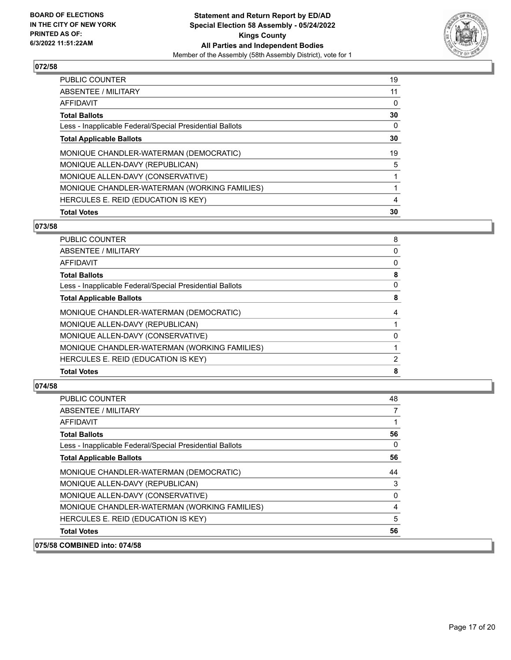

| <b>PUBLIC COUNTER</b>                                    | 19 |
|----------------------------------------------------------|----|
| <b>ABSENTEE / MILITARY</b>                               | 11 |
| <b>AFFIDAVIT</b>                                         | 0  |
| <b>Total Ballots</b>                                     | 30 |
| Less - Inapplicable Federal/Special Presidential Ballots | 0  |
| <b>Total Applicable Ballots</b>                          | 30 |
| MONIQUE CHANDLER-WATERMAN (DEMOCRATIC)                   | 19 |
| MONIQUE ALLEN-DAVY (REPUBLICAN)                          | 5  |
| MONIQUE ALLEN-DAVY (CONSERVATIVE)                        |    |
| MONIQUE CHANDLER-WATERMAN (WORKING FAMILIES)             |    |
| HERCULES E. REID (EDUCATION IS KEY)                      | 4  |
| <b>Total Votes</b>                                       | 30 |

#### **073/58**

| PUBLIC COUNTER                                           | 8 |
|----------------------------------------------------------|---|
| ABSENTEE / MILITARY                                      | 0 |
| AFFIDAVIT                                                | 0 |
| <b>Total Ballots</b>                                     | 8 |
| Less - Inapplicable Federal/Special Presidential Ballots | 0 |
| <b>Total Applicable Ballots</b>                          | 8 |
| MONIQUE CHANDLER-WATERMAN (DEMOCRATIC)                   | 4 |
| MONIQUE ALLEN-DAVY (REPUBLICAN)                          |   |
| MONIQUE ALLEN-DAVY (CONSERVATIVE)                        | 0 |
| MONIQUE CHANDLER-WATERMAN (WORKING FAMILIES)             |   |
| HERCULES E. REID (EDUCATION IS KEY)                      | 2 |
| <b>Total Votes</b>                                       | 8 |
|                                                          |   |

## **074/58**

| A                                                        |          |
|----------------------------------------------------------|----------|
| <b>Total Votes</b>                                       | 56       |
| HERCULES E. REID (EDUCATION IS KEY)                      | 5        |
| MONIQUE CHANDLER-WATERMAN (WORKING FAMILIES)             | 4        |
| MONIQUE ALLEN-DAVY (CONSERVATIVE)                        | 0        |
| MONIQUE ALLEN-DAVY (REPUBLICAN)                          | 3        |
| MONIQUE CHANDLER-WATERMAN (DEMOCRATIC)                   | 44       |
| <b>Total Applicable Ballots</b>                          | 56       |
| Less - Inapplicable Federal/Special Presidential Ballots | $\Omega$ |
| <b>Total Ballots</b>                                     | 56       |
| AFFIDAVIT                                                |          |
| ABSENTEE / MILITARY                                      | 7        |
| <b>PUBLIC COUNTER</b>                                    | 48       |

**075/58 COMBINED into: 074/58**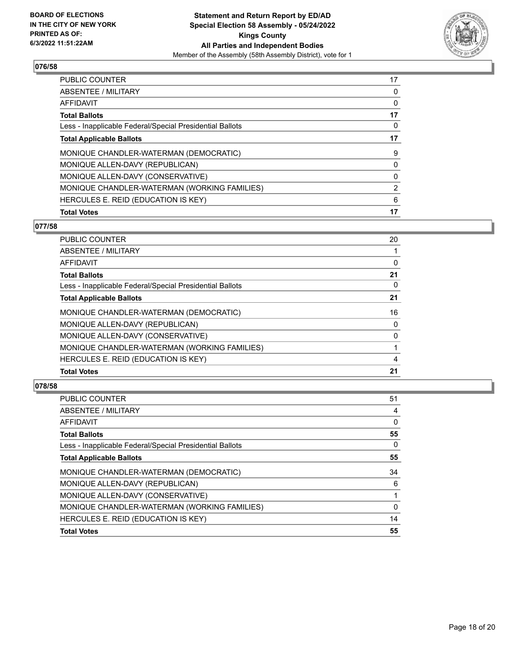

| PUBLIC COUNTER                                           | 17 |
|----------------------------------------------------------|----|
| <b>ABSENTEE / MILITARY</b>                               | 0  |
| <b>AFFIDAVIT</b>                                         | 0  |
| <b>Total Ballots</b>                                     | 17 |
| Less - Inapplicable Federal/Special Presidential Ballots | 0  |
| <b>Total Applicable Ballots</b>                          | 17 |
| MONIQUE CHANDLER-WATERMAN (DEMOCRATIC)                   | 9  |
| MONIQUE ALLEN-DAVY (REPUBLICAN)                          | 0  |
| MONIQUE ALLEN-DAVY (CONSERVATIVE)                        | 0  |
| MONIQUE CHANDLER-WATERMAN (WORKING FAMILIES)             | 2  |
| HERCULES E. REID (EDUCATION IS KEY)                      | 6  |
| <b>Total Votes</b>                                       | 17 |

# **077/58**

| <b>PUBLIC COUNTER</b>                                    | 20       |
|----------------------------------------------------------|----------|
| ABSENTEE / MILITARY                                      |          |
| AFFIDAVIT                                                | 0        |
| <b>Total Ballots</b>                                     | 21       |
| Less - Inapplicable Federal/Special Presidential Ballots | 0        |
| <b>Total Applicable Ballots</b>                          | 21       |
| MONIQUE CHANDLER-WATERMAN (DEMOCRATIC)                   | 16       |
| MONIQUE ALLEN-DAVY (REPUBLICAN)                          | $\Omega$ |
| MONIQUE ALLEN-DAVY (CONSERVATIVE)                        | $\Omega$ |
| MONIQUE CHANDLER-WATERMAN (WORKING FAMILIES)             |          |
| HERCULES E. REID (EDUCATION IS KEY)                      | 4        |
| <b>Total Votes</b>                                       | 21       |
|                                                          |          |

| PUBLIC COUNTER                                           | 51       |
|----------------------------------------------------------|----------|
| <b>ABSENTEE / MILITARY</b>                               | 4        |
| AFFIDAVIT                                                | 0        |
| <b>Total Ballots</b>                                     | 55       |
| Less - Inapplicable Federal/Special Presidential Ballots | 0        |
| <b>Total Applicable Ballots</b>                          | 55       |
| MONIQUE CHANDLER-WATERMAN (DEMOCRATIC)                   | 34       |
| MONIQUE ALLEN-DAVY (REPUBLICAN)                          | 6        |
| MONIQUE ALLEN-DAVY (CONSERVATIVE)                        |          |
| MONIQUE CHANDLER-WATERMAN (WORKING FAMILIES)             | $\Omega$ |
| HERCULES E. REID (EDUCATION IS KEY)                      | 14       |
| <b>Total Votes</b>                                       | 55       |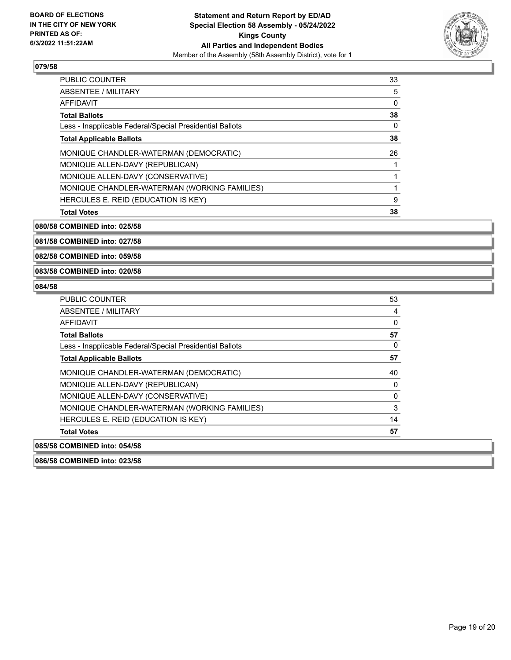

| <b>PUBLIC COUNTER</b>                                    | 33 |
|----------------------------------------------------------|----|
| ABSENTEE / MILITARY                                      | 5  |
| AFFIDAVIT                                                | 0  |
| <b>Total Ballots</b>                                     | 38 |
| Less - Inapplicable Federal/Special Presidential Ballots | 0  |
| <b>Total Applicable Ballots</b>                          | 38 |
| MONIQUE CHANDLER-WATERMAN (DEMOCRATIC)                   | 26 |
| MONIQUE ALLEN-DAVY (REPUBLICAN)                          |    |
| MONIQUE ALLEN-DAVY (CONSERVATIVE)                        |    |
| MONIQUE CHANDLER-WATERMAN (WORKING FAMILIES)             |    |
| HERCULES E. REID (EDUCATION IS KEY)                      | 9  |
| <b>Total Votes</b>                                       | 38 |

**080/58 COMBINED into: 025/58**

**081/58 COMBINED into: 027/58**

**082/58 COMBINED into: 059/58**

**083/58 COMBINED into: 020/58**

## **084/58**

| PUBLIC COUNTER                                           | 53       |
|----------------------------------------------------------|----------|
| ABSENTEE / MILITARY                                      | 4        |
| AFFIDAVIT                                                | 0        |
| <b>Total Ballots</b>                                     | 57       |
| Less - Inapplicable Federal/Special Presidential Ballots | 0        |
| <b>Total Applicable Ballots</b>                          | 57       |
| MONIQUE CHANDLER-WATERMAN (DEMOCRATIC)                   | 40       |
| MONIQUE ALLEN-DAVY (REPUBLICAN)                          | $\Omega$ |
| MONIQUE ALLEN-DAVY (CONSERVATIVE)                        | 0        |
| MONIQUE CHANDLER-WATERMAN (WORKING FAMILIES)             | 3        |
| HERCULES E. REID (EDUCATION IS KEY)                      | 14       |
| <b>Total Votes</b>                                       | 57       |
| 085/58 COMBINED into: 054/58                             |          |

**086/58 COMBINED into: 023/58**